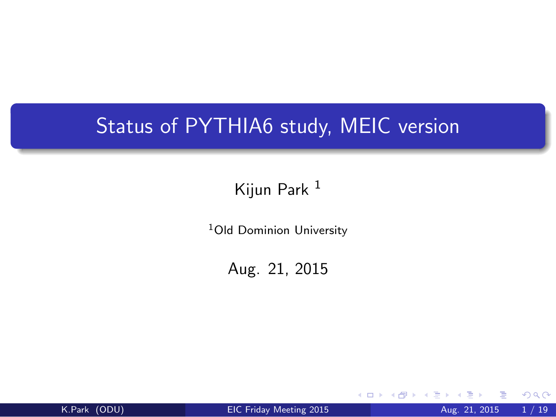## Status of PYTHIA6 study, MEIC version

#### Kijun Park <sup>1</sup>

<sup>1</sup>Old Dominion University

Aug. 21, 2015

<span id="page-0-0"></span>

K.Park (ODU) [EIC Friday Meeting 2015](#page-18-0) Aug. 21, 2015 1 / 19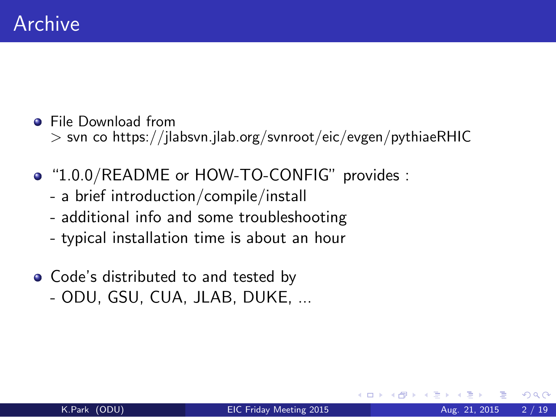- **•** File Download from > svn co https://jlabsvn.jlab.org/svnroot/eic/evgen/pythiaeRHIC
- "1.0.0/README or HOW-TO-CONFIG" provides :
	- a brief introduction/compile/install
	- additional info and some troubleshooting
	- typical installation time is about an hour
- Code's distributed to and tested by
	- ODU, GSU, CUA, JLAB, DUKE, ...

つひひ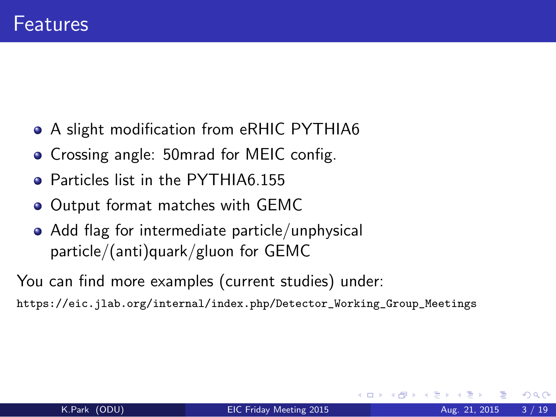- A slight modification from eRHIC PYTHIA6
- **Crossing angle: 50mrad for MEIC config.**
- **Q** Particles list in the PYTHIA6.155
- **Output format matches with GEMC**
- Add flag for intermediate particle/unphysical particle/(anti)quark/gluon for GEMC

You can find more examples (current studies) under:

[https://eic.jlab.org/internal/index.php/Detector\\_Working\\_Group\\_Meetings](https://eic.jlab.org/internal/index.php/Detector_Working_Group_Meetings)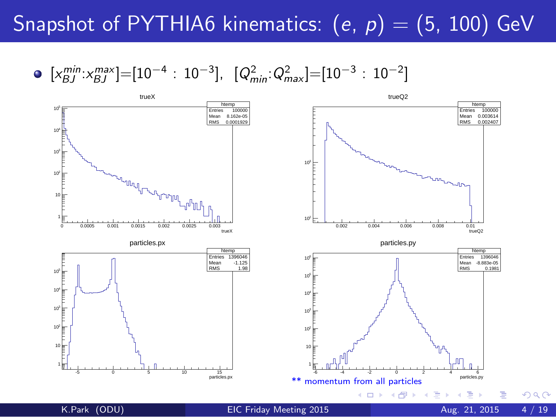## Snapshot of PYTHIA6 kinematics:  $(e, p) = (5, 100)$  GeV

 $[x_{BJ}^{min}:x_{BJ}^{max}]=[10^{-4}:10^{-3}], [Q_{min}^2:Q_{max}^2]=[10^{-3}:10^{-2}]$ 



 $QQ$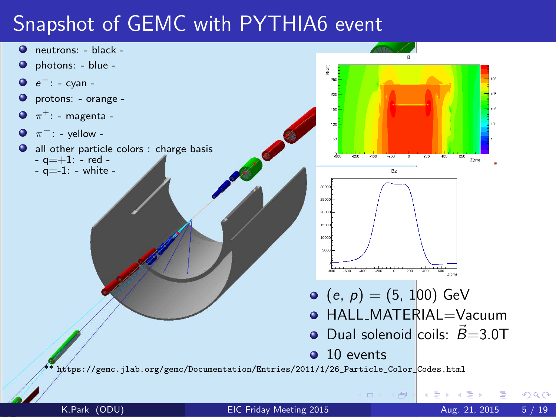## Snapshot of GEMC with PYTHIA6 event

- neutrons: black -
- photons: blue -
- e <sup>−</sup>: cyan -
- protons: orange -
- $\bullet$  $\pi^+$ : - magenta -
- $\pi^-$ : yellow - $\bullet$
- all other particle colors : charge basis  $-$  q  $=$  +1:  $-$  red  $-a=-1$ : - white -



同

K.Park (ODU) [EIC Friday Meeting 2015](#page-0-0) Aug. 21, 2015 5 / 19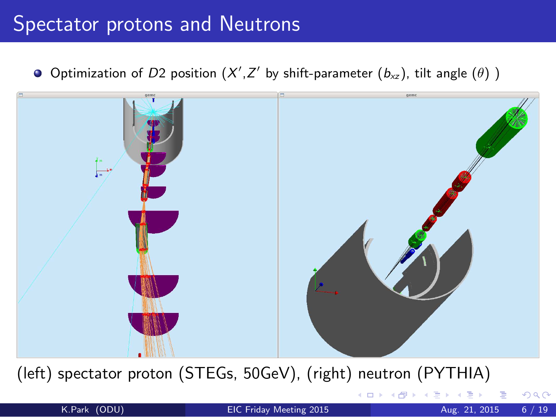#### Spectator protons and Neutrons

Optimization of D2 position  $(X', Z'$  by shift-parameter  $(b_{xz})$ , tilt angle  $(\theta)$  )



(left) spectator proton (STEGs, 50GeV), (right) neutron (PYTHIA)

つひひ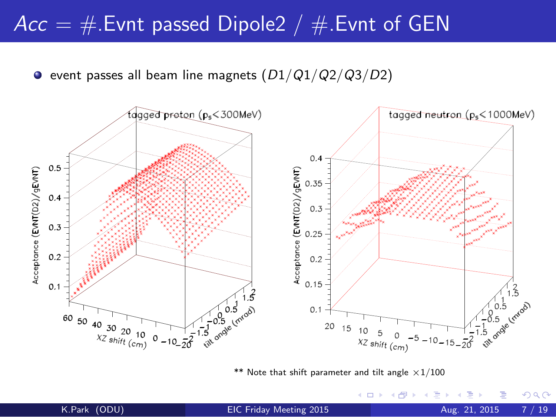#### $Acc = #$ . Evnt passed Dipole2 /  $#$ . Evnt of GEN

 $\bullet$  event passes all beam line magnets  $(D1/Q1/Q2/Q3/D2)$ 



\*\* Note that shift parameter and tilt angle  $\times 1/100$ 

4 D F

 $298$ 

÷.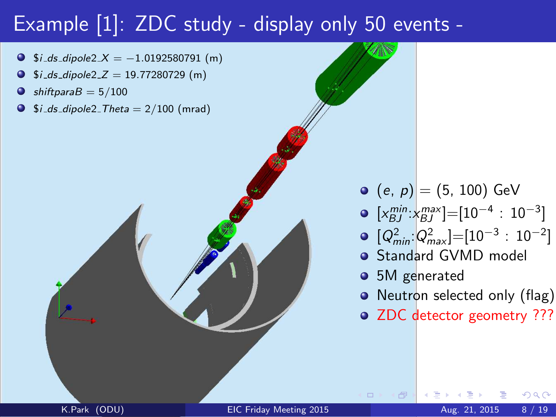## Example [1]: ZDC study - display only 50 events -

- $$i_d s_d ipole2 X = -1.0192580791$  (m)
- $$i_d s_d i_pole2_Z = 19.77280729$  (m)
- $shiftparaB = 5/100$
- $\bullet$  $$i_d s_d ipole2$  Theta = 2/100 (mrad)



- $[x_{BJ}^{min}:x_{BJ}^{max}]=[10^{-4}:10^{-3}]$
- $[Q_{min}^2:Q_{max}^2]=[10^{-3}:10^{-2}]$
- **•** Standard GVMD model
- 5M generated
- Neutron selected only (flag)
- ZDC detector geometry ???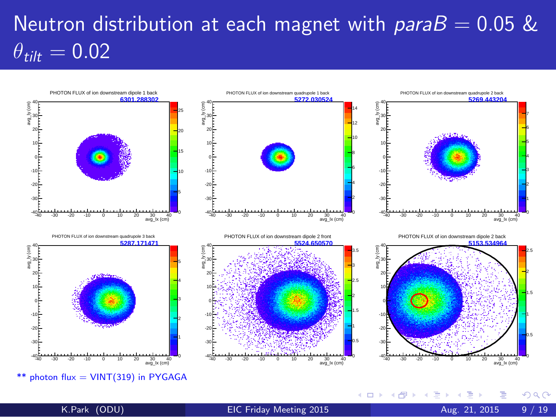# Neutron distribution at each magnet with  $parab = 0.05$  &  $\theta_{\text{tilt}} = 0.02$



\*\* photon  $flux = VINT(319)$  in PYGAGA

 $QQ$ 

メロト メ都 トメ ヨ トメ ヨト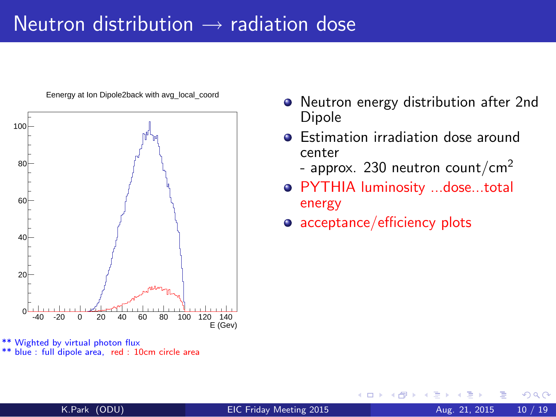#### Neutron distribution  $\rightarrow$  radiation dose



Eenergy at Ion Dipole2back with avg\_local\_coord

- Neutron energy distribution after 2nd Dipole
- **•** Estimation irradiation dose around center
	- approx. 230 neutron count/cm<sup>2</sup>
- PYTHIA luminosity ...dose...total energy
- acceptance/efficiency plots

<sup>\*\*</sup> Wighted by virtual photon flux \*\* blue : full dipole area, red : 10cm circle area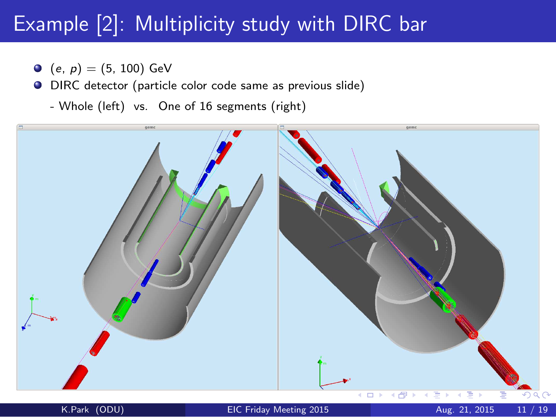## Example [2]: Multiplicity study with DIRC bar

- $(e, p) = (5, 100)$  GeV
- DIRC detector (particle color code same as previous slide)
	- Whole (left) vs. One of 16 segments (right)

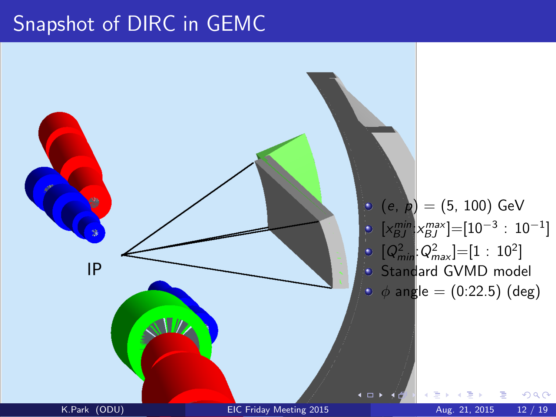#### Snapshot of DIRC in GEMC

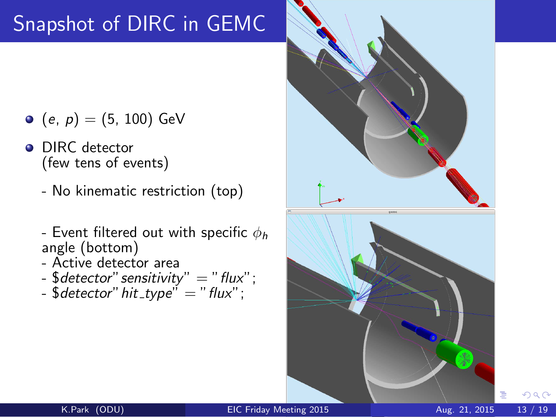## Snapshot of DIRC in GEMC

- $(e, p) = (5, 100)$  GeV
- DIRC detector (few tens of events)
	- No kinematic restriction (top)
	- Event filtered out with specific  $\phi_h$ angle (bottom)
	- Active detector area
	- $\text{\$detector'' sensitivity''} = "flux'';$
	- $\text{\$detector'' hit_type'' = "flux'';$

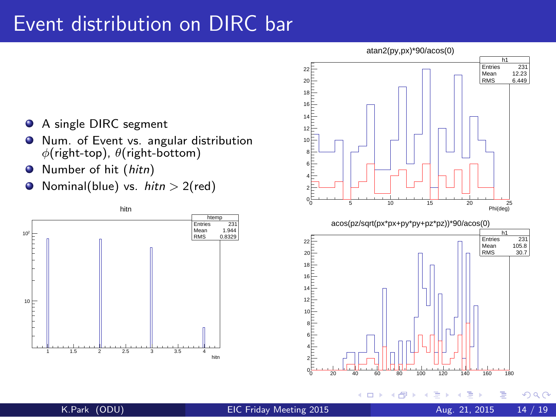#### Event distribution on DIRC bar

- A single DIRC segment  $\bullet$
- Num. of Event vs. angular distribution  $\bullet$  $\phi$ (right-top),  $\theta$ (right-bottom)
- Number of hit (hitn)  $\bullet$
- Nominal(blue) vs.  $hitn > 2(\text{red})$  $\bullet$



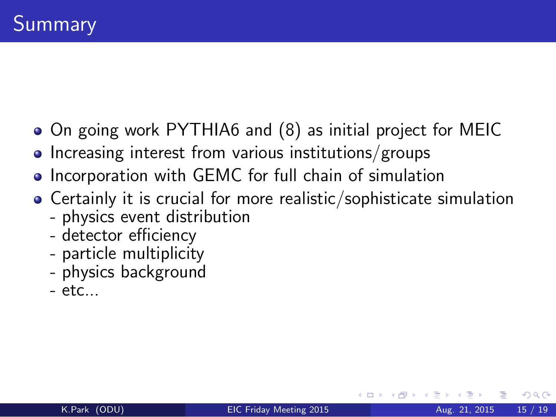- On going work PYTHIA6 and (8) as initial project for MEIC
- $\bullet$  Increasing interest from various institutions/groups
- Incorporation with GEMC for full chain of simulation
- Certainly it is crucial for more realistic/sophisticate simulation
	- physics event distribution
	- detector efficiency
	- particle multiplicity
	- physics background
	- $-$  etc...

つへへ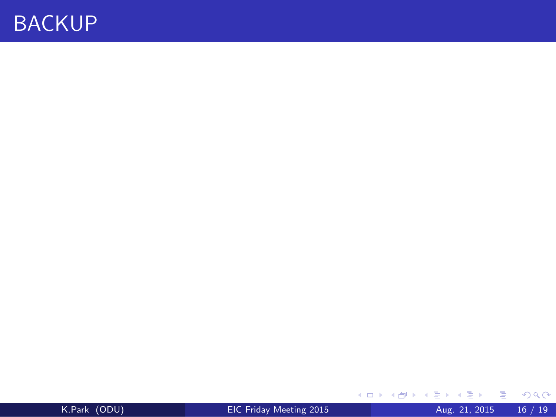#### BACKUP

| K.Park (ODU) |  |
|--------------|--|
|              |  |

 $\equiv$  990

K ロ K K 御 K K 君 K K 君 K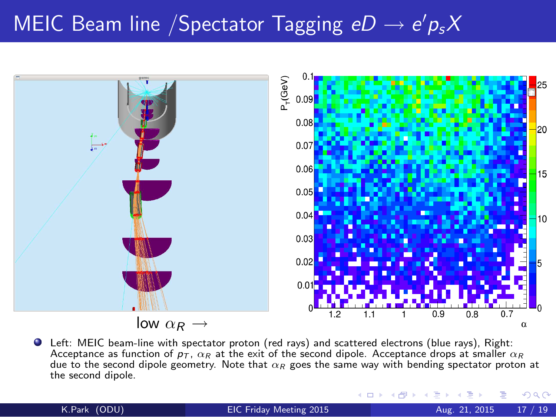# MEIC Beam line /Spectator Tagging  $eD \to e'p_sX$



Left: MEIC beam-line with spectator proton (red rays) and scattered electrons (blue rays), Right: Acceptance as function of  $p_T$ ,  $\alpha_R$  at the exit of the second dipole. Acceptance drops at smaller  $\alpha_R$ due to the second dipole geometry. Note that  $\alpha_R$  goes the same way with bending spectator proton at the second dipole.

K.Park (ODU) [EIC Friday Meeting 2015](#page-0-0) Aug. 21, 2015 17 / 19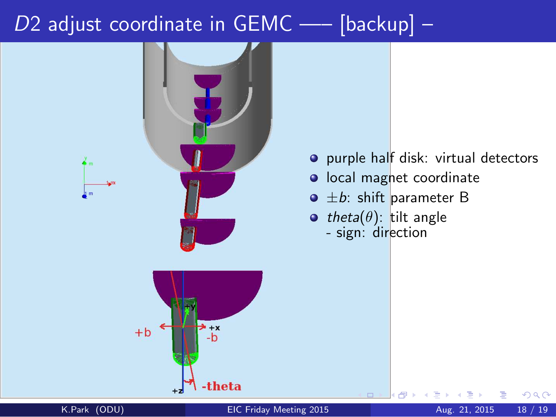## $D2$  adjust coordinate in GEMC —– [backup] –



- o purple half disk: virtual detectors
- o local magnet coordinate
- $\bullet$   $\pm b$ : shift parameter B
- theta( $\theta$ ): tilt angle - sign: direction